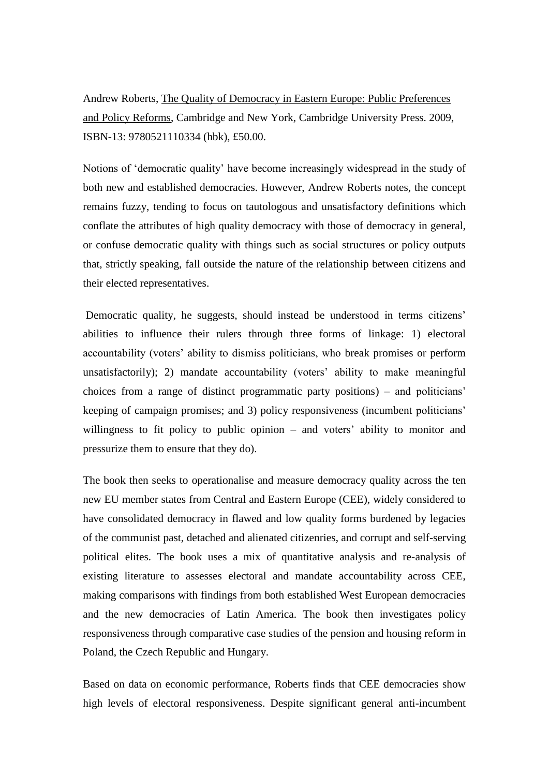Andrew Roberts, The Quality of Democracy in Eastern Europe: Public Preferences and Policy Reforms, Cambridge and New York, Cambridge University Press. 2009, ISBN-13: 9780521110334 (hbk), £50.00.

Notions of 'democratic quality' have become increasingly widespread in the study of both new and established democracies. However, Andrew Roberts notes, the concept remains fuzzy, tending to focus on tautologous and unsatisfactory definitions which conflate the attributes of high quality democracy with those of democracy in general, or confuse democratic quality with things such as social structures or policy outputs that, strictly speaking, fall outside the nature of the relationship between citizens and their elected representatives.

Democratic quality, he suggests, should instead be understood in terms citizens' abilities to influence their rulers through three forms of linkage: 1) electoral accountability (voters' ability to dismiss politicians, who break promises or perform unsatisfactorily); 2) mandate accountability (voters' ability to make meaningful choices from a range of distinct programmatic party positions) – and politicians' keeping of campaign promises; and 3) policy responsiveness (incumbent politicians' willingness to fit policy to public opinion – and voters' ability to monitor and pressurize them to ensure that they do).

The book then seeks to operationalise and measure democracy quality across the ten new EU member states from Central and Eastern Europe (CEE), widely considered to have consolidated democracy in flawed and low quality forms burdened by legacies of the communist past, detached and alienated citizenries, and corrupt and self-serving political elites. The book uses a mix of quantitative analysis and re-analysis of existing literature to assesses electoral and mandate accountability across CEE, making comparisons with findings from both established West European democracies and the new democracies of Latin America. The book then investigates policy responsiveness through comparative case studies of the pension and housing reform in Poland, the Czech Republic and Hungary.

Based on data on economic performance, Roberts finds that CEE democracies show high levels of electoral responsiveness. Despite significant general anti-incumbent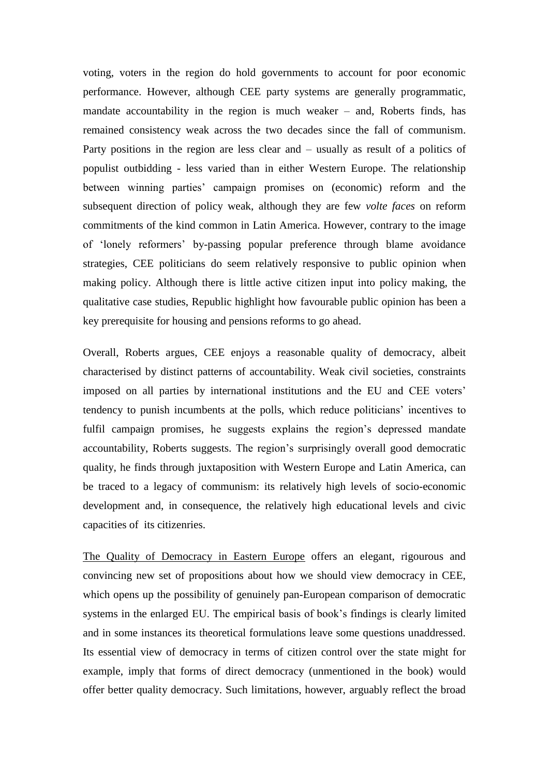voting, voters in the region do hold governments to account for poor economic performance. However, although CEE party systems are generally programmatic, mandate accountability in the region is much weaker – and, Roberts finds, has remained consistency weak across the two decades since the fall of communism. Party positions in the region are less clear and – usually as result of a politics of populist outbidding - less varied than in either Western Europe. The relationship between winning parties' campaign promises on (economic) reform and the subsequent direction of policy weak, although they are few *volte faces* on reform commitments of the kind common in Latin America. However, contrary to the image of 'lonely reformers' by-passing popular preference through blame avoidance strategies, CEE politicians do seem relatively responsive to public opinion when making policy. Although there is little active citizen input into policy making, the qualitative case studies, Republic highlight how favourable public opinion has been a key prerequisite for housing and pensions reforms to go ahead.

Overall, Roberts argues, CEE enjoys a reasonable quality of democracy, albeit characterised by distinct patterns of accountability. Weak civil societies, constraints imposed on all parties by international institutions and the EU and CEE voters' tendency to punish incumbents at the polls, which reduce politicians' incentives to fulfil campaign promises, he suggests explains the region's depressed mandate accountability, Roberts suggests. The region's surprisingly overall good democratic quality, he finds through juxtaposition with Western Europe and Latin America, can be traced to a legacy of communism: its relatively high levels of socio-economic development and, in consequence, the relatively high educational levels and civic capacities of its citizenries.

The Quality of Democracy in Eastern Europe offers an elegant, rigourous and convincing new set of propositions about how we should view democracy in CEE, which opens up the possibility of genuinely pan-European comparison of democratic systems in the enlarged EU. The empirical basis of book's findings is clearly limited and in some instances its theoretical formulations leave some questions unaddressed. Its essential view of democracy in terms of citizen control over the state might for example, imply that forms of direct democracy (unmentioned in the book) would offer better quality democracy. Such limitations, however, arguably reflect the broad